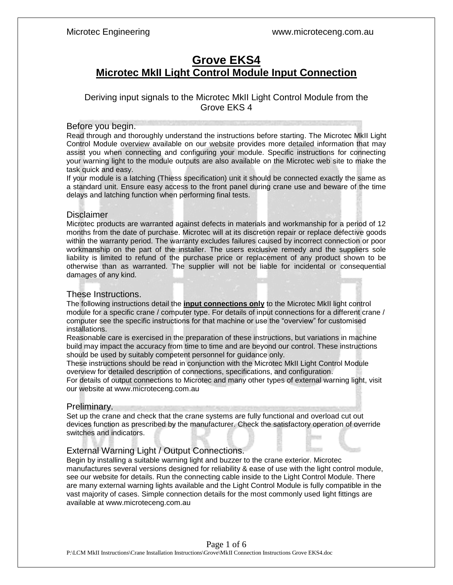# **Grove EKS4 Microtec MkII Light Control Module Input Connection**

## Deriving input signals to the Microtec MkII Light Control Module from the Grove EKS 4

#### Before you begin.

Read through and thoroughly understand the instructions before starting. The Microtec MkII Light Control Module overview available on our website provides more detailed information that may assist you when connecting and configuring your module. Specific instructions for connecting your warning light to the module outputs are also available on the Microtec web site to make the task quick and easy.

If your module is a latching (Thiess specification) unit it should be connected exactly the same as a standard unit. Ensure easy access to the front panel during crane use and beware of the time delays and latching function when performing final tests.

#### **Disclaimer**

Microtec products are warranted against defects in materials and workmanship for a period of 12 months from the date of purchase. Microtec will at its discretion repair or replace defective goods within the warranty period. The warranty excludes failures caused by incorrect connection or poor workmanship on the part of the installer. The users exclusive remedy and the suppliers sole liability is limited to refund of the purchase price or replacement of any product shown to be otherwise than as warranted. The supplier will not be liable for incidental or consequential damages of any kind.

#### These Instructions.

The following instructions detail the **input connections only** to the Microtec MkII light control module for a specific crane / computer type. For details of input connections for a different crane / computer see the specific instructions for that machine or use the "overview" for customised installations.

Reasonable care is exercised in the preparation of these instructions, but variations in machine build may impact the accuracy from time to time and are beyond our control. These instructions should be used by suitably competent personnel for guidance only.

These instructions should be read in conjunction with the Microtec MkII Light Control Module overview for detailed description of connections, specifications, and configuration.

For details of output connections to Microtec and many other types of external warning light, visit our website at www.microteceng.com.au

### Preliminary.

Set up the crane and check that the crane systems are fully functional and overload cut out devices function as prescribed by the manufacturer. Check the satisfactory operation of override switches and indicators.

### External Warning Light / Output Connections.

Begin by installing a suitable warning light and buzzer to the crane exterior. Microtec manufactures several versions designed for reliability & ease of use with the light control module, see our website for details. Run the connecting cable inside to the Light Control Module. There are many external warning lights available and the Light Control Module is fully compatible in the vast majority of cases. Simple connection details for the most commonly used light fittings are available at www.microteceng.com.au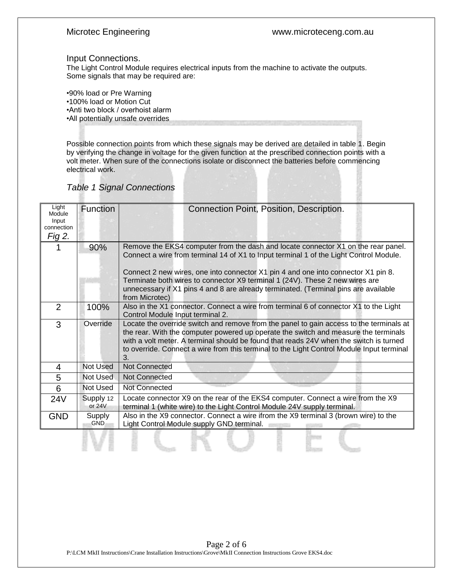#### Microtec Engineering www.microteceng.com.au

#### Input Connections.

The Light Control Module requires electrical inputs from the machine to activate the outputs. Some signals that may be required are:

•90% load or Pre Warning •100% load or Motion Cut •Anti two block / overhoist alarm •All potentially unsafe overrides

Possible connection points from which these signals may be derived are detailed in table 1. Begin by verifying the change in voltage for the given function at the prescribed connection points with a volt meter. When sure of the connections isolate or disconnect the batteries before commencing electrical work.

| Light<br>Module<br>Input<br>connection<br>Fig 2. | <b>Function</b>       | Connection Point, Position, Description.                                                                                                                                                                                                                                                                                                                                                                                                                  |  |  |  |  |  |
|--------------------------------------------------|-----------------------|-----------------------------------------------------------------------------------------------------------------------------------------------------------------------------------------------------------------------------------------------------------------------------------------------------------------------------------------------------------------------------------------------------------------------------------------------------------|--|--|--|--|--|
|                                                  | 90%                   | Remove the EKS4 computer from the dash and locate connector X1 on the rear panel.<br>Connect a wire from terminal 14 of X1 to Input terminal 1 of the Light Control Module.<br>Connect 2 new wires, one into connector X1 pin 4 and one into connector X1 pin 8.<br>Terminate both wires to connector X9 terminal 1 (24V). These 2 new wires are<br>unnecessary if X1 pins 4 and 8 are already terminated. (Terminal pins are available<br>from Microtec) |  |  |  |  |  |
| $\overline{2}$                                   | 100%                  | Also in the X1 connector. Connect a wire from terminal 6 of connector X1 to the Light<br>Control Module Input terminal 2.                                                                                                                                                                                                                                                                                                                                 |  |  |  |  |  |
| 3                                                | Override              | Locate the override switch and remove from the panel to gain access to the terminals at<br>the rear. With the computer powered up operate the switch and measure the terminals<br>with a volt meter. A terminal should be found that reads 24V when the switch is turned<br>to override. Connect a wire from this terminal to the Light Control Module Input terminal<br>3.                                                                               |  |  |  |  |  |
| 4                                                | <b>Not Used</b>       | <b>Not Connected</b>                                                                                                                                                                                                                                                                                                                                                                                                                                      |  |  |  |  |  |
| 5                                                | Not Used              | <b>Not Connected</b>                                                                                                                                                                                                                                                                                                                                                                                                                                      |  |  |  |  |  |
| $6\phantom{1}6$                                  | Not Used              | <b>Not Connected</b>                                                                                                                                                                                                                                                                                                                                                                                                                                      |  |  |  |  |  |
| 24V                                              | Supply 12<br>or $24V$ | Locate connector X9 on the rear of the EKS4 computer. Connect a wire from the X9<br>terminal 1 (white wire) to the Light Control Module 24V supply terminal.                                                                                                                                                                                                                                                                                              |  |  |  |  |  |
| <b>GND</b>                                       | Supply<br><b>GND</b>  | Also in the X9 connector. Connect a wire ifrom the X9 terminal 3 (brown wire) to the<br>Light Control Module supply GND terminal.                                                                                                                                                                                                                                                                                                                         |  |  |  |  |  |
|                                                  |                       |                                                                                                                                                                                                                                                                                                                                                                                                                                                           |  |  |  |  |  |

### *Table 1 Signal Connections*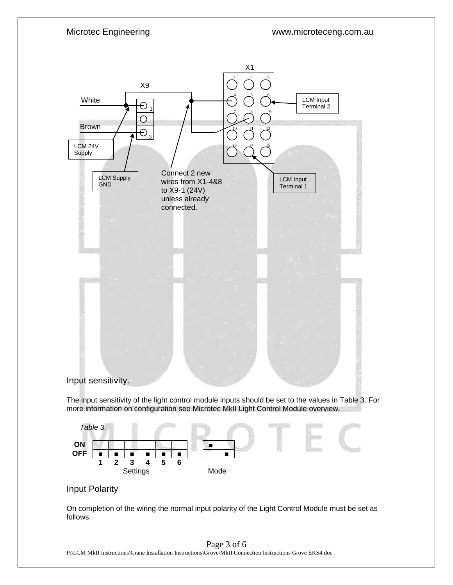Microtec Engineering www.microteceng.com.au





### Input Polarity

On completion of the wiring the normal input polarity of the Light Control Module must be set as follows:

#### Page 3 of 6

P:\LCM MkII Instructions\Crane Installation Instructions\Grove\MkII Connection Instructions Grove EKS4.doc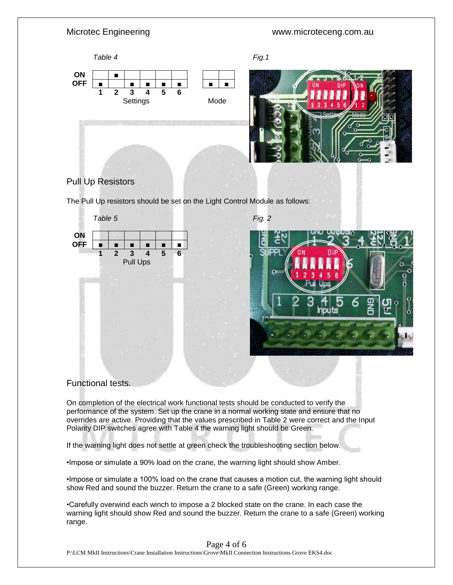# Microtec Engineering **WALLOCAL CONTENTS** www.microteceng.com.au *Table 4 Fig.1* **ON** ■ **OFF** ■ ■ ■ ■ ■ ■ ■ **1 2 3 4 5 6 Settings** Mode



# Pull Up Resistors

The Pull Up resistors should be set on the Light Control Module as follows:



# Functional tests.

On completion of the electrical work functional tests should be conducted to verify the performance of the system. Set up the crane in a normal working state and ensure that no overrides are active. Providing that the values prescribed in Table 2 were correct and the Input Polarity DIP switches agree with Table 4 the warning light should be Green.

If the warning light does not settle at green check the troubleshooting section below.

•Impose or simulate a 90% load on the crane, the warning light should show Amber.

•Impose or simulate a 100% load on the crane that causes a motion cut, the warning light should show Red and sound the buzzer. Return the crane to a safe (Green) working range.

•Carefully overwind each winch to impose a 2 blocked state on the crane. In each case the warning light should show Red and sound the buzzer. Return the crane to a safe (Green) working range.

Page 4 of 6

P:\LCM MkII Instructions\Crane Installation Instructions\Grove\MkII Connection Instructions Grove EKS4.doc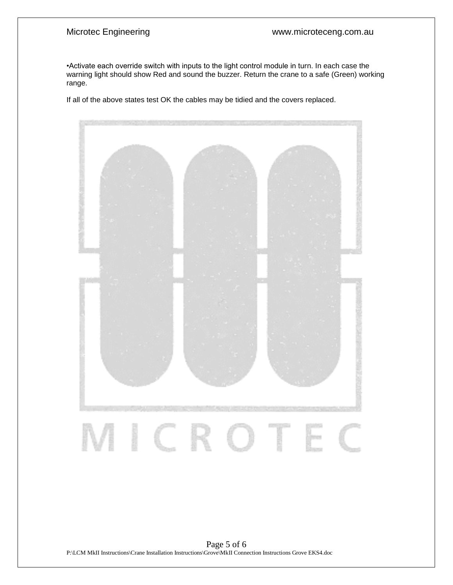•Activate each override switch with inputs to the light control module in turn. In each case the warning light should show Red and sound the buzzer. Return the crane to a safe (Green) working range.

If all of the above states test OK the cables may be tidied and the covers replaced.



Page 5 of 6 P:\LCM MkII Instructions\Crane Installation Instructions\Grove\MkII Connection Instructions Grove EKS4.doc